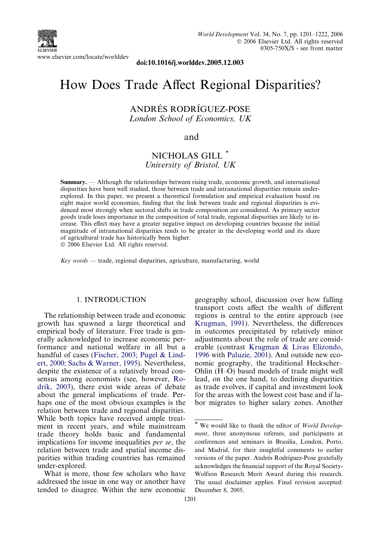

doi:10.1016/j.worlddev.2005.12.003

# How Does Trade Affect Regional Disparities?

# ANDRÉS RODRÍGUEZ-POSE London School of Economics, UK

## and

# NICHOLAS GILL \* University of Bristol, UK

Summary. — Although the relationships between rising trade, economic growth, and international disparities have been well studied, those between trade and intranational disparities remain underexplored. In this paper, we present a theoretical formulation and empirical evaluation based on eight major world economies, finding that the link between trade and regional disparities is evidenced most strongly when sectoral shifts in trade composition are considered. As primary sector goods trade loses importance in the composition of total trade, regional disparities are likely to increase. This effect may have a greater negative impact on developing countries because the initial magnitude of intranational disparities tends to be greater in the developing world and its share of agricultural trade has historically been higher.

© 2006 Elsevier Ltd. All rights reserved.

 $Key words$  — trade, regional disparities, agriculture, manufacturing, world

#### 1. INTRODUCTION

The relationship between trade and economic growth has spawned a large theoretical and empirical body of literature. Free trade is generally acknowledged to increase economic performance and national welfare in all but a handful of cases ([Fischer, 2003; Pugel & Lind](#page-18-0)[ert, 2000; Sachs & Warner, 1995\)](#page-18-0). Nevertheless, despite the existence of a relatively broad consensus among economists (see, however, [Ro](#page-18-0)[drik, 2003](#page-18-0)), there exist wide areas of debate about the general implications of trade. Perhaps one of the most obvious examples is the relation between trade and regional disparities. While both topics have received ample treatment in recent years, and while mainstream trade theory holds basic and fundamental implications for income inequalities *per se*, the relation between trade and spatial income disparities within trading countries has remained under-explored.

What is more, those few scholars who have addressed the issue in one way or another have tended to disagree. Within the new economic geography school, discussion over how falling transport costs affect the wealth of different regions is central to the entire approach (see [Krugman, 1991](#page-18-0)). Nevertheless, the differences in outcomes precipitated by relatively minor adjustments about the role of trade are considerable (contrast [Krugman & Livas Elizondo,](#page-18-0) [1996](#page-18-0) with [Paluzie, 2001\)](#page-18-0). And outside new economic geography, the traditional Heckscher– Ohlin (H–O) based models of trade might well lead, on the one hand, to declining disparities as trade evolves, if capital and investment look for the areas with the lowest cost base and if labor migrates to higher salary zones. Another

<sup>\*</sup> We would like to thank the editor of World Development, three anonymous referees, and participants at conferences and seminars in Brasilia, London, Porto, and Madrid, for their insightful comments to earlier versions of the paper. Andrés Rodríguez-Pose gratefully acknowledges the financial support of the Royal Society-Wolfson Research Merit Award during this research. The usual disclaimer applies. Final revision accepted: December 8, 2005.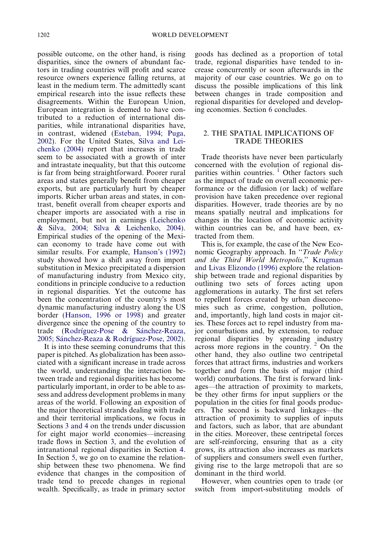possible outcome, on the other hand, is rising disparities, since the owners of abundant factors in trading countries will profit and scarce resource owners experience falling returns, at least in the medium term. The admittedly scant empirical research into the issue reflects these disagreements. Within the European Union, European integration is deemed to have contributed to a reduction of international disparities, while intranational disparities have, in contrast, widened [\(Esteban, 1994; Puga,](#page-18-0) [2002](#page-18-0)). For the United States, [Silva and Lei](#page-18-0)[chenko \(2004\)](#page-18-0) report that increases in trade seem to be associated with a growth of inter and intrastate inequality, but that this outcome is far from being straightforward. Poorer rural areas and states generally benefit from cheaper exports, but are particularly hurt by cheaper imports. Richer urban areas and states, in contrast, benefit overall from cheaper exports and cheaper imports are associated with a rise in employment, but not in earnings [\(Leichenko](#page-18-0) [& Silva, 2004; Silva & Leichenko, 2004\)](#page-18-0). Empirical studies of the opening of the Mexican economy to trade have come out with similar results. For example, [Hanson's \(1992\)](#page-18-0) study showed how a shift away from import substitution in Mexico precipitated a dispersion of manufacturing industry from Mexico city, conditions in principle conducive to a reduction in regional disparities. Yet the outcome has been the concentration of the country's most dynamic manufacturing industry along the US border ([Hanson, 1996 or 1998\)](#page-18-0) and greater divergence since the opening of the country to trade (Rodríguez-Pose & Sánchez-Reaza, 2005; Sánchez-Reaza & Rodríguez-Pose, 2002).

It is into these seeming conundrums that this paper is pitched. As globalization has been associated with a significant increase in trade across the world, understanding the interaction between trade and regional disparities has become particularly important, in order to be able to assess and address development problems in many areas of the world. Following an exposition of the major theoretical strands dealing with trade and their territorial implications, we focus in Sections 3 and 4 on the trends under discussion for eight major world economies—increasing trade flows in Section 3, and the evolution of intranational regional disparities in Section 4. In Section 5, we go on to examine the relationship between these two phenomena. We find evidence that changes in the composition of trade tend to precede changes in regional wealth. Specifically, as trade in primary sector

goods has declined as a proportion of total trade, regional disparities have tended to increase concurrently or soon afterwards in the majority of our case countries. We go on to discuss the possible implications of this link between changes in trade composition and regional disparities for developed and developing economies. Section 6 concludes.

#### 2. THE SPATIAL IMPLICATIONS OF TRADE THEORIES

Trade theorists have never been particularly concerned with the evolution of regional disparities within countries.  $\frac{1}{1}$  Other factors such as the impact of trade on overall economic performance or the diffusion (or lack) of welfare provision have taken precedence over regional disparities. However, trade theories are by no means spatially neutral and implications for changes in the location of economic activity within countries can be, and have been, extracted from them.

This is, for example, the case of the New Economic Geography approach. In "*Trade Policy* and the Third World Metropolis,'' [Krugman](#page-18-0) [and Livas Elizondo \(1996\)](#page-18-0) explore the relationship between trade and regional disparities by outlining two sets of forces acting upon agglomerations in autarky. The first set refers to repellent forces created by urban diseconomies such as crime, congestion, pollution, and, importantly, high land costs in major cities. These forces act to repel industry from major conurbations and, by extension, to reduce regional disparities by spreading industry across more regions in the country.<sup>2</sup> On the other hand, they also outline two centripetal forces that attract firms, industries and workers together and form the basis of major (third world) conurbations. The first is forward linkages—the attraction of proximity to markets, be they other firms for input suppliers or the population in the cities for final goods producers. The second is backward linkages—the attraction of proximity to supplies of inputs and factors, such as labor, that are abundant in the cities. Moreover, these centripetal forces are self-reinforcing, ensuring that as a city grows, its attraction also increases as markets of suppliers and consumers swell even further, giving rise to the large metropoli that are so dominant in the third world.

However, when countries open to trade (or switch from import-substituting models of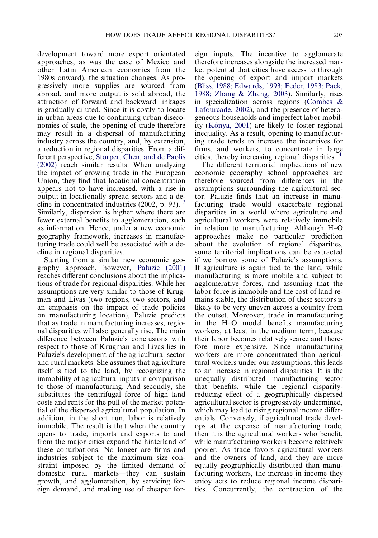development toward more export orientated approaches, as was the case of Mexico and other Latin American economies from the 1980s onward), the situation changes. As progressively more supplies are sourced from abroad, and more output is sold abroad, the attraction of forward and backward linkages is gradually diluted. Since it is costly to locate in urban areas due to continuing urban diseconomies of scale, the opening of trade therefore may result in a dispersal of manufacturing industry across the country, and, by extension, a reduction in regional disparities. From a different perspective, [Storper, Chen, and de Paolis](#page-19-0) [\(2002\)](#page-19-0) reach similar results. When analyzing the impact of growing trade in the European Union, they find that locational concentration appears not to have increased, with a rise in output in locationally spread sectors and a decline in concentrated industries (2002, p. 93).<sup>3</sup> Similarly, dispersion is higher where there are fewer external benefits to agglomeration, such as information. Hence, under a new economic geography framework, increases in manufacturing trade could well be associated with a decline in regional disparities.

Starting from a similar new economic geography approach, however, [Paluzie \(2001\)](#page-18-0) reaches different conclusions about the implications of trade for regional disparities. While her assumptions are very similar to those of Krugman and Livas (two regions, two sectors, and an emphasis on the impact of trade policies on manufacturing location), Paluzie predicts that as trade in manufacturing increases, regional disparities will also generally rise. The main difference between Paluzie's conclusions with respect to those of Krugman and Livas lies in Paluzie's development of the agricultural sector and rural markets. She assumes that agriculture itself is tied to the land, by recognizing the immobility of agricultural inputs in comparison to those of manufacturing. And secondly, she substitutes the centrifugal force of high land costs and rents for the pull of the market potential of the dispersed agricultural population. In addition, in the short run, labor is relatively immobile. The result is that when the country opens to trade, imports and exports to and from the major cities expand the hinterland of these conurbations. No longer are firms and industries subject to the maximum size constraint imposed by the limited demand of domestic rural markets—they can sustain growth, and agglomeration, by servicing foreign demand, and making use of cheaper for-

eign inputs. The incentive to agglomerate therefore increases alongside the increased market potential that cities have access to through the opening of export and import markets ([Bliss, 1988; Edwards, 1993; Feder, 1983; Pack,](#page-17-0) [1988; Zhang & Zhang, 2003\)](#page-17-0). Similarly, rises in specialization across regions [\(Combes &](#page-17-0) [Lafourcade, 2002\)](#page-17-0), and the presence of heterogeneous households and imperfect labor mobility (Kónya, 2001) are likely to foster regional inequality. As a result, opening to manufacturing trade tends to increase the incentives for firms, and workers, to concentrate in large cities, thereby increasing regional disparities. <sup>4</sup>

The different territorial implications of new economic geography school approaches are therefore sourced from differences in the assumptions surrounding the agricultural sector. Paluzie finds that an increase in manufacturing trade would exacerbate regional disparities in a world where agriculture and agricultural workers were relatively immobile in relation to manufacturing. Although H–O approaches make no particular prediction about the evolution of regional disparities, some territorial implications can be extracted if we borrow some of Paluzie's assumptions. If agriculture is again tied to the land, while manufacturing is more mobile and subject to agglomerative forces, and assuming that the labor force is immobile and the cost of land remains stable, the distribution of these sectors is likely to be very uneven across a country from the outset. Moreover, trade in manufacturing in the H–O model benefits manufacturing workers, at least in the medium term, because their labor becomes relatively scarce and therefore more expensive. Since manufacturing workers are more concentrated than agricultural workers under our assumptions, this leads to an increase in regional disparities. It is the unequally distributed manufacturing sector that benefits, while the regional disparityreducing effect of a geographically dispersed agricultural sector is progressively undermined, which may lead to rising regional income differentials. Conversely, if agricultural trade develops at the expense of manufacturing trade, then it is the agricultural workers who benefit, while manufacturing workers become relatively poorer. As trade favors agricultural workers and the owners of land, and they are more equally geographically distributed than manufacturing workers, the increase in income they enjoy acts to reduce regional income disparities. Concurrently, the contraction of the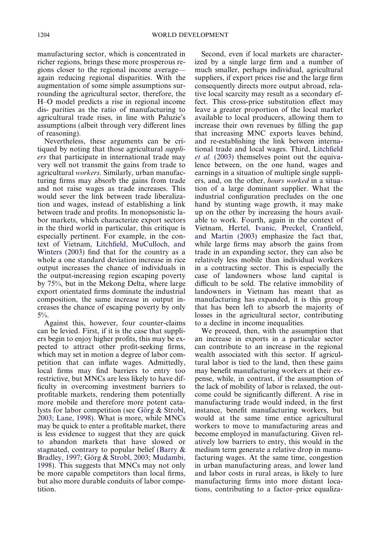manufacturing sector, which is concentrated in richer regions, brings these more prosperous regions closer to the regional income average again reducing regional disparities. With the augmentation of some simple assumptions surrounding the agricultural sector, therefore, the H–O model predicts a rise in regional income dis- parities as the ratio of manufacturing to agricultural trade rises, in line with Paluzie's assumptions (albeit through very different lines of reasoning).

Nevertheless, these arguments can be critiqued by noting that those agricultural suppliers that participate in international trade may very well not transmit the gains from trade to agricultural workers. Similarly, urban manufacturing firms may absorb the gains from trade and not raise wages as trade increases. This would sever the link between trade liberalization and wages, instead of establishing a link between trade and profits. In monopsonistic labor markets, which characterize export sectors in the third world in particular, this critique is especially pertinent. For example, in the context of Vietnam, [Litchfield, MuCulloch, and](#page-18-0) [Winters \(2003\)](#page-18-0) find that for the country as a whole a one standard deviation increase in rice output increases the chance of individuals in the output-increasing region escaping poverty by 75%, but in the Mekong Delta, where large export orientated firms dominate the industrial composition, the same increase in output increases the chance of escaping poverty by only 5%.

Against this, however, four counter-claims can be levied. First, if it is the case that suppliers begin to enjoy higher profits, this may be expected to attract other profit-seeking firms, which may set in motion a degree of labor competition that can inflate wages. Admittedly, local firms may find barriers to entry too restrictive, but MNCs are less likely to have difficulty in overcoming investment barriers to profitable markets, rendering them potentially more mobile and therefore more potent catalysts for labor competition (see Görg & Strobl, [2003; Lane, 1998\)](#page-18-0). What is more, while MNCs may be quick to enter a profitable market, there is less evidence to suggest that they are quick to abandon markets that have slowed or stagnated, contrary to popular belief ([Barry &](#page-17-0) Bradley, 1997; Görg & Strobl, 2003; Mudambi, [1998](#page-17-0)). This suggests that MNCs may not only be more capable competitors than local firms, but also more durable conduits of labor competition.

Second, even if local markets are characterized by a single large firm and a number of much smaller, perhaps individual, agricultural suppliers, if export prices rise and the large firm consequently directs more output abroad, relative local scarcity may result as a secondary effect. This cross-price substitution effect may leave a greater proportion of the local market available to local producers, allowing them to increase their own revenues by filling the gap that increasing MNC exports leaves behind, and re-establishing the link between international trade and local wages. Third, [Litchfield](#page-18-0) et al. [\(2003\)](#page-18-0) themselves point out the equivalence between, on the one hand, wages and earnings in a situation of multiple single suppliers, and, on the other, hours worked in a situation of a large dominant supplier. What the industrial configuration precludes on the one hand by stunting wage growth, it may make up on the other by increasing the hours available to work. Fourth, again in the context of Vietnam, [Hertel, Ivanic, Preckel, Cranfield,](#page-18-0) [and Martin \(2003\)](#page-18-0) emphasize the fact that, while large firms may absorb the gains from trade in an expanding sector, they can also be relatively less mobile than individual workers in a contracting sector. This is especially the case of landowners whose land capital is difficult to be sold. The relative immobility of landowners in Vietnam has meant that as manufacturing has expanded, it is this group that has been left to absorb the majority of losses in the agricultural sector, contributing to a decline in income inequalities.

We proceed, then, with the assumption that an increase in exports in a particular sector can contribute to an increase in the regional wealth associated with this sector. If agricultural labor is tied to the land, then these gains may benefit manufacturing workers at their expense, while, in contrast, if the assumption of the lack of mobility of labor is relaxed, the outcome could be significantly different. A rise in manufacturing trade would indeed, in the first instance, benefit manufacturing workers, but would at the same time entice agricultural workers to move to manufacturing areas and become employed in manufacturing. Given relatively low barriers to entry, this would in the medium term generate a relative drop in manufacturing wages. At the same time, congestion in urban manufacturing areas, and lower land and labor costs in rural areas, is likely to lure manufacturing firms into more distant locations, contributing to a factor–price equaliza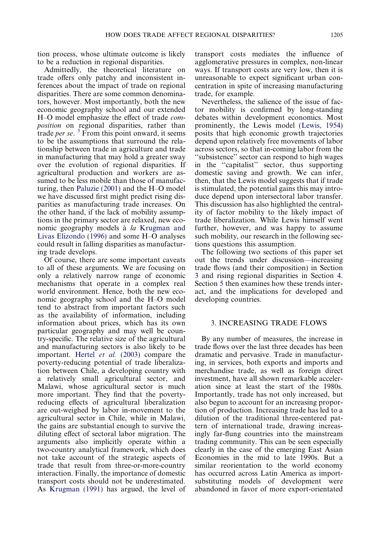tion process, whose ultimate outcome is likely to be a reduction in regional disparities.

Admittedly, the theoretical literature on trade offers only patchy and inconsistent inferences about the impact of trade on regional disparities. There are some common denominators, however. Most importantly, both the new economic geography school and our extended H–O model emphasize the effect of trade composition on regional disparities, rather than trade *per se*. <sup>5</sup> From this point onward, it seems to be the assumptions that surround the relationship between trade in agriculture and trade in manufacturing that may hold a greater sway over the evolution of regional disparities. If agricultural production and workers are assumed to be less mobile than those of manufacturing, then [Paluzie \(2001\)](#page-18-0) and the H–O model we have discussed first might predict rising disparities as manufacturing trade increases. On the other hand, if the lack of mobility assumptions in the primary sector are relaxed, new eco-nomic geography models à la [Krugman and](#page-18-0) [Livas Elizondo \(1996\)](#page-18-0) and some H–O analyses could result in falling disparities as manufacturing trade develops.

Of course, there are some important caveats to all of these arguments. We are focusing on only a relatively narrow range of economic mechanisms that operate in a complex real world environment. Hence, both the new economic geography school and the H–O model tend to abstract from important factors such as the availability of information, including information about prices, which has its own particular geography and may well be country-specific. The relative size of the agricultural and manufacturing sectors is also likely to be important. [Hertel](#page-18-0) et al. (2003) compare the poverty-reducing potential of trade liberalization between Chile, a developing country with a relatively small agricultural sector, and Malawi, whose agricultural sector is much more important. They find that the povertyreducing effects of agricultural liberalization are out-weighed by labor in-movement to the agricultural sector in Chile, while in Malawi, the gains are substantial enough to survive the diluting effect of sectoral labor migration. The arguments also implicitly operate within a two-country analytical framework, which does not take account of the strategic aspects of trade that result from three-or-more-country interaction. Finally, the importance of domestic transport costs should not be underestimated. As [Krugman \(1991\)](#page-18-0) has argued, the level of

transport costs mediates the influence of agglomerative pressures in complex, non-linear ways. If transport costs are very low, then it is unreasonable to expect significant urban concentration in spite of increasing manufacturing trade, for example.

Nevertheless, the salience of the issue of factor mobility is confirmed by long-standing debates within development economics. Most prominently, the Lewis model [\(Lewis, 1954\)](#page-18-0) posits that high economic growth trajectories depend upon relatively free movements of labor across sectors, so that in-coming labor from the ''subsistence'' sector can respond to high wages in the ''capitalist'' sector, thus supporting domestic saving and growth. We can infer, then, that the Lewis model suggests that if trade is stimulated, the potential gains this may introduce depend upon intersectoral labor transfer. This discussion has also highlighted the centrality of factor mobility to the likely impact of trade liberalization. While Lewis himself went further, however, and was happy to assume such mobility, our research in the following sections questions this assumption.

The following two sections of this paper set out the trends under discussion—increasing trade flows (and their composition) in Section 3 and rising regional disparities in Section 4. Section 5 then examines how these trends interact, and the implications for developed and developing countries.

#### 3. INCREASING TRADE FLOWS

By any number of measures, the increase in trade flows over the last three decades has been dramatic and pervasive. Trade in manufacturing, in services, both exports and imports and merchandise trade, as well as foreign direct investment, have all shown remarkable acceleration since at least the start of the 1980s. Importantly, trade has not only increased, but also begun to account for an increasing proportion of production. Increasing trade has led to a dilution of the traditional three-centered pattern of international trade, drawing increasingly far-flung countries into the mainstream trading community. This can be seen especially clearly in the case of the emerging East Asian Economies in the mid to late 1990s. But a similar reorientation to the world economy has occurred across Latin America as importsubstituting models of development were abandoned in favor of more export-orientated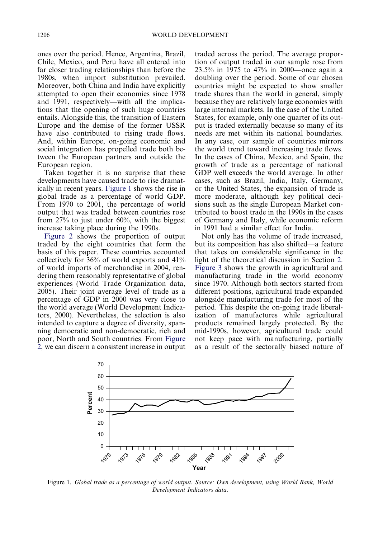ones over the period. Hence, Argentina, Brazil, Chile, Mexico, and Peru have all entered into far closer trading relationships than before the 1980s, when import substitution prevailed. Moreover, both China and India have explicitly attempted to open their economies since 1978 and 1991, respectively—with all the implications that the opening of such huge countries entails. Alongside this, the transition of Eastern Europe and the demise of the former USSR have also contributed to rising trade flows. And, within Europe, on-going economic and social integration has propelled trade both between the European partners and outside the European region.

Taken together it is no surprise that these developments have caused trade to rise dramatically in recent years. Figure 1 shows the rise in global trade as a percentage of world GDP. From 1970 to 2001, the percentage of world output that was traded between countries rose from 27% to just under 60%, with the biggest increase taking place during the 1990s.

[Figure 2](#page-6-0) shows the proportion of output traded by the eight countries that form the basis of this paper. These countries accounted collectively for 36% of world exports and 41% of world imports of merchandise in 2004, rendering them reasonably representative of global experiences (World Trade Organization data, 2005). Their joint average level of trade as a percentage of GDP in 2000 was very close to the world average (World Development Indicators, 2000). Nevertheless, the selection is also intended to capture a degree of diversity, spanning democratic and non-democratic, rich and poor, North and South countries. From [Figure](#page-6-0) [2,](#page-6-0) we can discern a consistent increase in output

traded across the period. The average proportion of output traded in our sample rose from 23.5% in 1975 to 47% in 2000—once again a doubling over the period. Some of our chosen countries might be expected to show smaller trade shares than the world in general, simply because they are relatively large economies with large internal markets. In the case of the United States, for example, only one quarter of its output is traded externally because so many of its needs are met within its national boundaries. In any case, our sample of countries mirrors the world trend toward increasing trade flows. In the cases of China, Mexico, and Spain, the growth of trade as a percentage of national GDP well exceeds the world average. In other cases, such as Brazil, India, Italy, Germany, or the United States, the expansion of trade is more moderate, although key political decisions such as the single European Market contributed to boost trade in the 1990s in the cases of Germany and Italy, while economic reform in 1991 had a similar effect for India.

Not only has the volume of trade increased, but its composition has also shifted—a feature that takes on considerable significance in the light of the theoretical discussion in Section 2. [Figure 3](#page-6-0) shows the growth in agricultural and manufacturing trade in the world economy since 1970. Although both sectors started from different positions, agricultural trade expanded alongside manufacturing trade for most of the period. This despite the on-going trade liberalization of manufactures while agricultural products remained largely protected. By the mid-1990s, however, agricultural trade could not keep pace with manufacturing, partially as a result of the sectorally biased nature of



Figure 1. Global trade as a percentage of world output. Source: Own development, using World Bank, World Development Indicators data.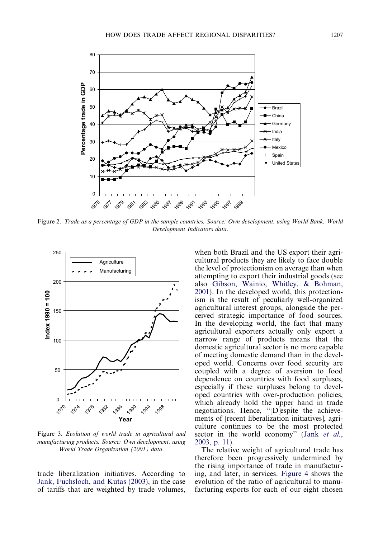<span id="page-6-0"></span>

Figure 2. Trade as a percentage of GDP in the sample countries. Source: Own development, using World Bank, World Development Indicators data.



Figure 3. Evolution of world trade in agricultural and manufacturing products. Source: Own development, using World Trade Organization (2001) data.

trade liberalization initiatives. According to [Jank, Fuchsloch, and Kutas \(2003\)](#page-18-0), in the case of tariffs that are weighted by trade volumes, when both Brazil and the US export their agricultural products they are likely to face double the level of protectionism on average than when attempting to export their industrial goods (see also [Gibson, Wainio, Whitley, & Bohman,](#page-18-0) [2001](#page-18-0)). In the developed world, this protectionism is the result of peculiarly well-organized agricultural interest groups, alongside the perceived strategic importance of food sources. In the developing world, the fact that many agricultural exporters actually only export a narrow range of products means that the domestic agricultural sector is no more capable of meeting domestic demand than in the developed world. Concerns over food security are coupled with a degree of aversion to food dependence on countries with food surpluses, especially if these surpluses belong to developed countries with over-production policies, which already hold the upper hand in trade negotiations. Hence, ''[D]espite the achievements of [recent liberalization initiatives], agriculture continues to be the most protected sector in the world economy" (Jank [et al.](#page-18-0), [2003, p. 11](#page-18-0)).

The relative weight of agricultural trade has therefore been progressively undermined by the rising importance of trade in manufacturing, and later, in services. [Figure 4](#page-7-0) shows the evolution of the ratio of agricultural to manufacturing exports for each of our eight chosen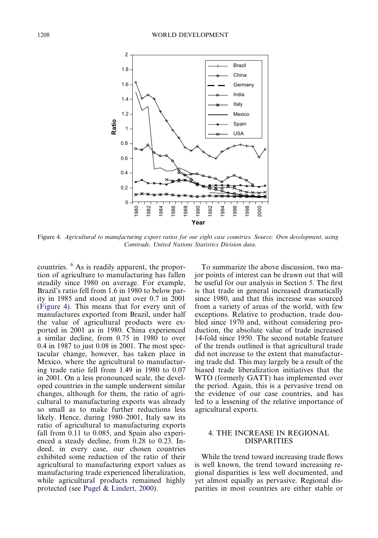<span id="page-7-0"></span>

Figure 4. Agricultural to manufacturing export ratios for our eight case countries. Source: Own development, using Comtrade, United Nations Statistics Division data.

countries. <sup>6</sup> As is readily apparent, the proportion of agriculture to manufacturing has fallen steadily since 1980 on average. For example, Brazil's ratio fell from 1.6 in 1980 to below parity in 1985 and stood at just over 0.7 in 2001 (Figure 4). This means that for every unit of manufactures exported from Brazil, under half the value of agricultural products were exported in 2001 as in 1980. China experienced a similar decline, from 0.75 in 1980 to over 0.4 in 1987 to just 0.08 in 2001. The most spectacular change, however, has taken place in Mexico, where the agricultural to manufacturing trade ratio fell from 1.49 in 1980 to 0.07 in 2001. On a less pronounced scale, the developed countries in the sample underwent similar changes, although for them, the ratio of agricultural to manufacturing exports was already so small as to make further reductions less likely. Hence, during 1980–2001, Italy saw its ratio of agricultural to manufacturing exports fall from 0.11 to 0.085, and Spain also experienced a steady decline, from 0.28 to 0.23. Indeed, in every case, our chosen countries exhibited some reduction of the ratio of their agricultural to manufacturing export values as manufacturing trade experienced liberalization, while agricultural products remained highly protected (see [Pugel & Lindert, 2000](#page-18-0)).

To summarize the above discussion, two major points of interest can be drawn out that will be useful for our analysis in Section 5. The first is that trade in general increased dramatically since 1980, and that this increase was sourced from a variety of areas of the world, with few exceptions. Relative to production, trade doubled since 1970 and, without considering production, the absolute value of trade increased 14-fold since 1950. The second notable feature of the trends outlined is that agricultural trade did not increase to the extent that manufacturing trade did. This may largely be a result of the biased trade liberalization initiatives that the WTO (formerly GATT) has implemented over the period. Again, this is a pervasive trend on the evidence of our case countries, and has led to a lessening of the relative importance of agricultural exports.

#### 4. THE INCREASE IN REGIONAL DISPARITIES

While the trend toward increasing trade flows is well known, the trend toward increasing regional disparities is less well documented, and yet almost equally as pervasive. Regional disparities in most countries are either stable or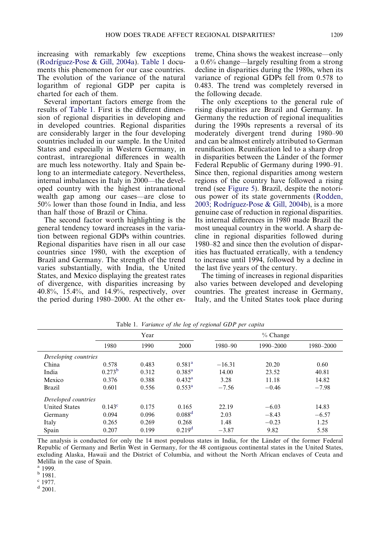<span id="page-8-0"></span>increasing with remarkably few exceptions [\(Rodrı´guez-Pose & Gill, 2004a\)](#page-18-0). Table 1 documents this phenomenon for our case countries. The evolution of the variance of the natural logarithm of regional GDP per capita is charted for each of them.

Several important factors emerge from the results of Table 1. First is the different dimension of regional disparities in developing and in developed countries. Regional disparities are considerably larger in the four developing countries included in our sample. In the United States and especially in Western Germany, in contrast, intraregional differences in wealth are much less noteworthy. Italy and Spain belong to an intermediate category. Nevertheless, internal imbalances in Italy in 2000—the developed country with the highest intranational wealth gap among our cases—are close to 50% lower than those found in India, and less than half those of Brazil or China.

The second factor worth highlighting is the general tendency toward increases in the variation between regional GDPs within countries. Regional disparities have risen in all our case countries since 1980, with the exception of Brazil and Germany. The strength of the trend varies substantially, with India, the United States, and Mexico displaying the greatest rates of divergence, with disparities increasing by 40.8%, 15.4%, and 14.9%, respectively, over the period during 1980–2000. At the other extreme, China shows the weakest increase—only a 0.6% change—largely resulting from a strong decline in disparities during the 1980s, when its variance of regional GDPs fell from 0.578 to 0.483. The trend was completely reversed in the following decade.

The only exceptions to the general rule of rising disparities are Brazil and Germany. In Germany the reduction of regional inequalities during the 1990s represents a reversal of its moderately divergent trend during 1980–90 and can be almost entirely attributed to German reunification. Reunification led to a sharp drop in disparities between the Länder of the former Federal Republic of Germany during 1990–91. Since then, regional disparities among western regions of the country have followed a rising trend (see [Figure 5\)](#page-9-0). Brazil, despite the notorious power of its state governments ([Rodden,](#page-18-0) 2003; Rodríguez-Pose & Gill, 2004b), is a more genuine case of reduction in regional disparities. Its internal differences in 1980 made Brazil the most unequal country in the world. A sharp decline in regional disparities followed during 1980–82 and since then the evolution of disparities has fluctuated erratically, with a tendency to increase until 1994, followed by a decline in the last five years of the century.

The timing of increases in regional disparities also varies between developed and developing countries. The greatest increase in Germany, Italy, and the United States took place during

|                      | Year            |       |                    | $%$ Change |           |           |
|----------------------|-----------------|-------|--------------------|------------|-----------|-----------|
|                      | 1980            | 1990  | 2000               | 1980-90    | 1990-2000 | 1980-2000 |
| Developing countries |                 |       |                    |            |           |           |
| China                | 0.578           | 0.483 | $0.581^{\rm a}$    | $-16.31$   | 20.20     | 0.60      |
| India                | $0.273^{\rm b}$ | 0.312 | $0.385^{a}$        | 14.00      | 23.52     | 40.81     |
| Mexico               | 0.376           | 0.388 | $0.432^a$          | 3.28       | 11.18     | 14.82     |
| <b>Brazil</b>        | 0.601           | 0.556 | $0.553^{\rm a}$    | $-7.56$    | $-0.46$   | $-7.98$   |
| Developed countries  |                 |       |                    |            |           |           |
| <b>United States</b> | $0.143^{\circ}$ | 0.175 | 0.165              | 22.19      | $-6.03$   | 14.83     |
| Germany              | 0.094           | 0.096 | 0.088 <sup>d</sup> | 2.03       | $-8.43$   | $-6.57$   |
| Italy                | 0.265           | 0.269 | 0.268              | 1.48       | $-0.23$   | 1.25      |
| Spain                | 0.207           | 0.199 | 0.219 <sup>d</sup> | $-3.87$    | 9.82      | 5.58      |

Table 1. Variance of the log of regional GDP per capita

The analysis is conducted for only the 14 most populous states in India, for the Länder of the former Federal Republic of Germany and Berlin West in Germany, for the 48 contiguous continental states in the United States, excluding Alaska, Hawaii and the District of Columbia, and without the North African enclaves of Ceuta and Melilla in the case of Spain.<br><sup>a</sup> 1999.

 $\frac{b}{c}$  1981.

 $^{\rm d}$  2001.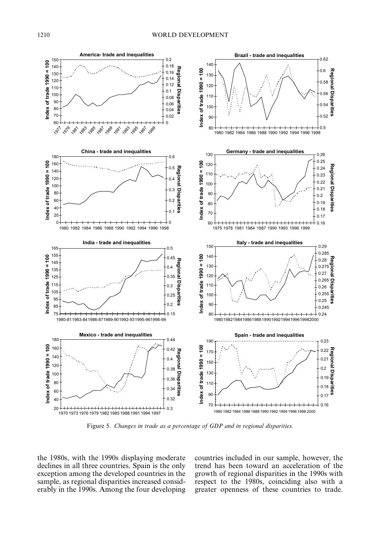<span id="page-9-0"></span>

Figure 5. Changes in trade as a percentage of GDP and in regional disparities.

the 1980s, with the 1990s displaying moderate declines in all three countries. Spain is the only exception among the developed countries in the sample, as regional disparities increased considerably in the 1990s. Among the four developing countries included in our sample, however, the trend has been toward an acceleration of the growth of regional disparities in the 1990s with respect to the 1980s, coinciding also with a greater openness of these countries to trade.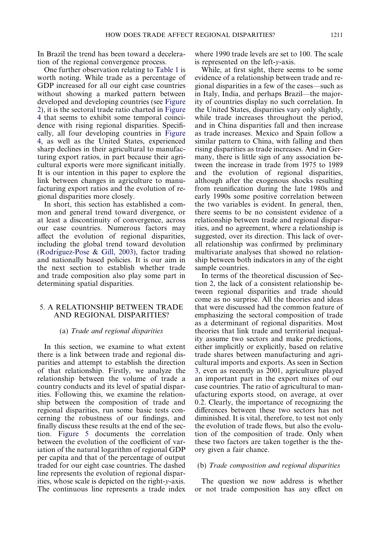In Brazil the trend has been toward a deceleration of the regional convergence process.

One further observation relating to [Table 1](#page-8-0) is worth noting. While trade as a percentage of GDP increased for all our eight case countries without showing a marked pattern between developed and developing countries (see [Figure](#page-6-0) [2\)](#page-6-0), it is the sectoral trade ratio charted in [Figure](#page-7-0) [4](#page-7-0) that seems to exhibit some temporal coincidence with rising regional disparities. Specifically, all four developing countries in [Figure](#page-7-0) [4,](#page-7-0) as well as the United States, experienced sharp declines in their agricultural to manufacturing export ratios, in part because their agricultural exports were more significant initially. It is our intention in this paper to explore the link between changes in agriculture to manufacturing export ratios and the evolution of regional disparities more closely.

In short, this section has established a common and general trend toward divergence, or at least a discontinuity of convergence, across our case countries. Numerous factors may affect the evolution of regional disparities, including the global trend toward devolution (Rodríguez-Pose & Gill, 2003), factor trading and nationally based policies. It is our aim in the next section to establish whether trade and trade composition also play some part in determining spatial disparities.

#### 5. A RELATIONSHIP BETWEEN TRADE AND REGIONAL DISPARITIES?

#### (a) Trade and regional disparities

In this section, we examine to what extent there is a link between trade and regional disparities and attempt to establish the direction of that relationship. Firstly, we analyze the relationship between the volume of trade a country conducts and its level of spatial disparities. Following this, we examine the relationship between the composition of trade and regional disparities, run some basic tests concerning the robustness of our findings, and finally discuss these results at the end of the section. [Figure 5](#page-9-0) documents the correlation between the evolution of the coefficient of variation of the natural logarithm of regional GDP per capita and that of the percentage of output traded for our eight case countries. The dashed line represents the evolution of regional disparities, whose scale is depicted on the right-y-axis. The continuous line represents a trade index where 1990 trade levels are set to 100. The scale is represented on the left- $\nu$ -axis.

While, at first sight, there seems to be some evidence of a relationship between trade and regional disparities in a few of the cases—such as in Italy, India, and perhaps Brazil—the majority of countries display no such correlation. In the United States, disparities vary only slightly, while trade increases throughout the period, and in China disparities fall and then increase as trade increases. Mexico and Spain follow a similar pattern to China, with falling and then rising disparities as trade increases. And in Germany, there is little sign of any association between the increase in trade from 1975 to 1989 and the evolution of regional disparities, although after the exogenous shocks resulting from reunification during the late 1980s and early 1990s some positive correlation between the two variables is evident. In general, then, there seems to be no consistent evidence of a relationship between trade and regional disparities, and no agreement, where a relationship is suggested, over its direction. This lack of overall relationship was confirmed by preliminary multivariate analyses that showed no relationship between both indicators in any of the eight sample countries.

In terms of the theoretical discussion of Section 2, the lack of a consistent relationship between regional disparities and trade should come as no surprise. All the theories and ideas that were discussed had the common feature of emphasizing the sectoral composition of trade as a determinant of regional disparities. Most theories that link trade and territorial inequality assume two sectors and make predictions, either implicitly or explicitly, based on relative trade shares between manufacturing and agricultural imports and exports. As seen in Section 3, even as recently as 2001, agriculture played an important part in the export mixes of our case countries. The ratio of agricultural to manufacturing exports stood, on average, at over 0.2. Clearly, the importance of recognizing the differences between these two sectors has not diminished. It is vital, therefore, to test not only the evolution of trade flows, but also the evolution of the composition of trade. Only when these two factors are taken together is the theory given a fair chance.

#### (b) Trade composition and regional disparities

The question we now address is whether or not trade composition has any effect on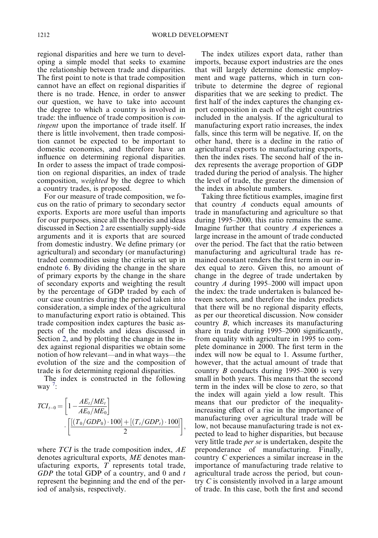regional disparities and here we turn to developing a simple model that seeks to examine the relationship between trade and disparities. The first point to note is that trade composition cannot have an effect on regional disparities if there is no trade. Hence, in order to answer our question, we have to take into account the degree to which a country is involved in trade: the influence of trade composition is contingent upon the importance of trade itself. If there is little involvement, then trade composition cannot be expected to be important to domestic economics, and therefore have an influence on determining regional disparities. In order to assess the impact of trade composition on regional disparities, an index of trade composition, weighted by the degree to which a country trades, is proposed.

For our measure of trade composition, we focus on the ratio of primary to secondary sector exports. Exports are more useful than imports for our purposes, since all the theories and ideas discussed in Section 2 are essentially supply-side arguments and it is exports that are sourced from domestic industry. We define primary (or agricultural) and secondary (or manufacturing) traded commodities using the criteria set up in endnote 6. By dividing the change in the share of primary exports by the change in the share of secondary exports and weighting the result by the percentage of GDP traded by each of our case countries during the period taken into consideration, a simple index of the agricultural to manufacturing export ratio is obtained. This trade composition index captures the basic aspects of the models and ideas discussed in Section 2, and by plotting the change in the index against regional disparities we obtain some notion of how relevant—and in what ways—the evolution of the size and the composition of trade is for determining regional disparities.

The index is constructed in the following way<sup> $7$ </sup>:

$$
TCI_{t-0} = \left[1 - \frac{AE_t/ME_t}{AE_0/ME_0}\right]
$$

$$
\cdot \left[ \frac{[(T_0/GDP_0) \cdot 100] + [(T_t/GDP_t) \cdot 100]}{2}\right],
$$

where  $TCI$  is the trade composition index,  $AE$ denotes agricultural exports, ME denotes manufacturing exports,  $\overline{T}$  represents total trade, GDP the total GDP of a country, and 0 and  $t$ represent the beginning and the end of the period of analysis, respectively.

The index utilizes export data, rather than imports, because export industries are the ones that will largely determine domestic employment and wage patterns, which in turn contribute to determine the degree of regional disparities that we are seeking to predict. The first half of the index captures the changing export composition in each of the eight countries included in the analysis. If the agricultural to manufacturing export ratio increases, the index falls, since this term will be negative. If, on the other hand, there is a decline in the ratio of agricultural exports to manufacturing exports, then the index rises. The second half of the index represents the average proportion of GDP traded during the period of analysis. The higher the level of trade, the greater the dimension of the index in absolute numbers.

Taking three fictitious examples, imagine first that country  $A$  conducts equal amounts of trade in manufacturing and agriculture so that during 1995–2000, this ratio remains the same. Imagine further that country A experiences a large increase in the amount of trade conducted over the period. The fact that the ratio between manufacturing and agricultural trade has remained constant renders the first term in our index equal to zero. Given this, no amount of change in the degree of trade undertaken by country A during 1995–2000 will impact upon the index: the trade undertaken is balanced between sectors, and therefore the index predicts that there will be no regional disparity effects, as per our theoretical discussion. Now consider country B, which increases its manufacturing share in trade during 1995–2000 significantly, from equality with agriculture in 1995 to complete dominance in 2000. The first term in the index will now be equal to 1. Assume further, however, that the actual amount of trade that country *B* conducts during 1995–2000 is very small in both years. This means that the second term in the index will be close to zero, so that the index will again yield a low result. This means that our predictor of the inequalityincreasing effect of a rise in the importance of manufacturing over agricultural trade will be low, not because manufacturing trade is not expected to lead to higher disparities, but because very little trade per se is undertaken, despite the preponderance of manufacturing. Finally, country C experiences a similar increase in the importance of manufacturing trade relative to agricultural trade across the period, but country C is consistently involved in a large amount of trade. In this case, both the first and second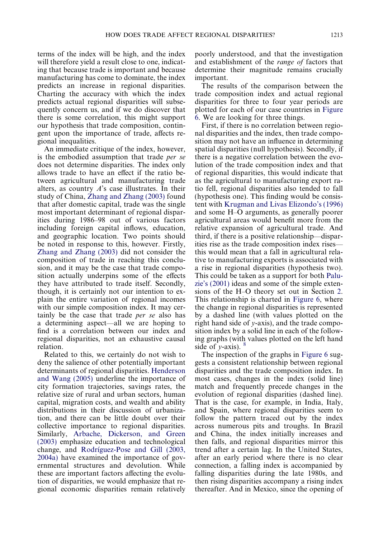terms of the index will be high, and the index will therefore yield a result close to one, indicating that because trade is important and because manufacturing has come to dominate, the index predicts an increase in regional disparities. Charting the accuracy with which the index predicts actual regional disparities will subsequently concern us, and if we do discover that there is some correlation, this might support our hypothesis that trade composition, contingent upon the importance of trade, affects regional inequalities.

An immediate critique of the index, however, is the embodied assumption that trade per se does not determine disparities. The index only allows trade to have an effect if the ratio between agricultural and manufacturing trade alters, as country A's case illustrates. In their study of China, [Zhang and Zhang \(2003\)](#page-19-0) found that after domestic capital, trade was the single most important determinant of regional disparities during 1986–98 out of various factors including foreign capital inflows, education, and geographic location. Two points should be noted in response to this, however. Firstly, [Zhang and Zhang \(2003\)](#page-19-0) did not consider the composition of trade in reaching this conclusion, and it may be the case that trade composition actually underpins some of the effects they have attributed to trade itself. Secondly, though, it is certainly not our intention to explain the entire variation of regional incomes with our simple composition index. It may certainly be the case that trade per se also has a determining aspect—all we are hoping to find is a correlation between our index and regional disparities, not an exhaustive causal relation.

Related to this, we certainly do not wish to deny the salience of other potentially important determinants of regional disparities. [Henderson](#page-18-0) [and Wang \(2005\)](#page-18-0) underline the importance of city formation trajectories, savings rates, the relative size of rural and urban sectors, human capital, migration costs, and wealth and ability distributions in their discussion of urbanization, and there can be little doubt over their collective importance to regional disparities. Similarly, [Arbache, Dickerson, and Green](#page-17-0) [\(2003\)](#page-17-0) emphasize education and technological change, and Rodríguez-Pose and Gill (2003, [2004a\)](#page-18-0) have examined the importance of governmental structures and devolution. While these are important factors affecting the evolution of disparities, we would emphasize that regional economic disparities remain relatively

poorly understood, and that the investigation and establishment of the range of factors that determine their magnitude remains crucially important.

The results of the comparison between the trade composition index and actual regional disparities for three to four year periods are plotted for each of our case countries in [Figure](#page-13-0) [6](#page-13-0). We are looking for three things.

First, if there is no correlation between regional disparities and the index, then trade composition may not have an influence in determining spatial disparities (null hypothesis). Secondly, if there is a negative correlation between the evolution of the trade composition index and that of regional disparities, this would indicate that as the agricultural to manufacturing export ratio fell, regional disparities also tended to fall (hypothesis one). This finding would be consistent with [Krugman and Livas Elizondo's \(1996\)](#page-18-0) and some H–O arguments, as generally poorer agricultural areas would benefit more from the relative expansion of agricultural trade. And third, if there is a positive relationship—disparities rise as the trade composition index rises this would mean that a fall in agricultural relative to manufacturing exports is associated with a rise in regional disparities (hypothesis two). This could be taken as a support for both [Palu](#page-18-0)[zie's \(2001\)](#page-18-0) ideas and some of the simple extensions of the H–O theory set out in Section 2. This relationship is charted in [Figure 6,](#page-13-0) where the change in regional disparities is represented by a dashed line (with values plotted on the right hand side of  $y$ -axis), and the trade composition index by a solid line in each of the following graphs (with values plotted on the left hand side of  $\nu$ -axis).  $\delta$ 

The inspection of the graphs in [Figure 6](#page-13-0) suggests a consistent relationship between regional disparities and the trade composition index. In most cases, changes in the index (solid line) match and frequently precede changes in the evolution of regional disparities (dashed line). That is the case, for example, in India, Italy, and Spain, where regional disparities seem to follow the pattern traced out by the index across numerous pits and troughs. In Brazil and China, the index initially increases and then falls, and regional disparities mirror this trend after a certain lag. In the United States, after an early period where there is no clear connection, a falling index is accompanied by falling disparities during the late 1980s, and then rising disparities accompany a rising index thereafter. And in Mexico, since the opening of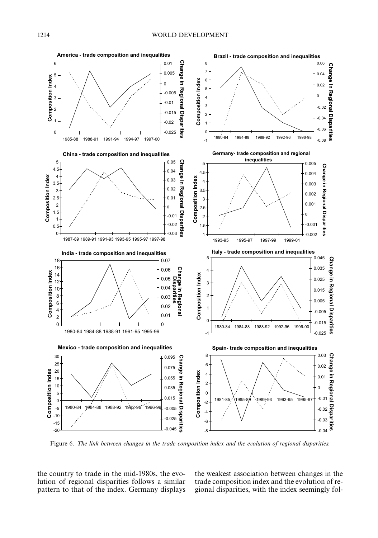<span id="page-13-0"></span>

Figure 6. The link between changes in the trade composition index and the evolution of regional disparities.

the country to trade in the mid-1980s, the evolution of regional disparities follows a similar pattern to that of the index. Germany displays the weakest association between changes in the trade composition index and the evolution of regional disparities, with the index seemingly fol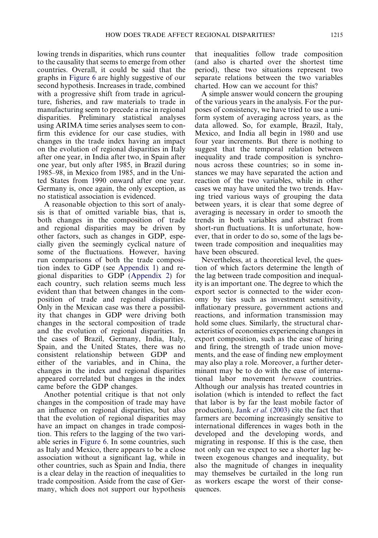lowing trends in disparities, which runs counter to the causality that seems to emerge from other countries. Overall, it could be said that the graphs in [Figure 6](#page-13-0) are highly suggestive of our second hypothesis. Increases in trade, combined with a progressive shift from trade in agriculture, fisheries, and raw materials to trade in manufacturing seem to precede a rise in regional disparities. Preliminary statistical analyses using ARIMA time series analyses seem to confirm this evidence for our case studies, with changes in the trade index having an impact on the evolution of regional disparities in Italy after one year, in India after two, in Spain after one year, but only after 1985, in Brazil during 1985–98, in Mexico from 1985, and in the United States from 1990 onward after one year. Germany is, once again, the only exception, as no statistical association is evidenced.

A reasonable objection to this sort of analysis is that of omitted variable bias, that is, both changes in the composition of trade and regional disparities may be driven by other factors, such as changes in GDP, especially given the seemingly cyclical nature of some of the fluctuations. However, having run comparisons of both the trade composition index to GDP (see Appendix 1) and regional disparities to GDP ([Appendix 2\)](#page-21-0) for each country, such relation seems much less evident than that between changes in the composition of trade and regional disparities. Only in the Mexican case was there a possibility that changes in GDP were driving both changes in the sectoral composition of trade and the evolution of regional disparities. In the cases of Brazil, Germany, India, Italy, Spain, and the United States, there was no consistent relationship between GDP and either of the variables, and in China, the changes in the index and regional disparities appeared correlated but changes in the index came before the GDP changes.

Another potential critique is that not only changes in the composition of trade may have an influence on regional disparities, but also that the evolution of regional disparities may have an impact on changes in trade composition. This refers to the lagging of the two variable series in [Figure 6.](#page-13-0) In some countries, such as Italy and Mexico, there appears to be a close association without a significant lag, while in other countries, such as Spain and India, there is a clear delay in the reaction of inequalities to trade composition. Aside from the case of Germany, which does not support our hypothesis that inequalities follow trade composition (and also is charted over the shortest time period), these two situations represent two separate relations between the two variables charted. How can we account for this?

A simple answer would concern the grouping of the various years in the analysis. For the purposes of consistency, we have tried to use a uniform system of averaging across years, as the data allowed. So, for example, Brazil, Italy, Mexico, and India all begin in 1980 and use four year increments. But there is nothing to suggest that the temporal relation between inequality and trade composition is synchronous across these countries; so in some instances we may have separated the action and reaction of the two variables, while in other cases we may have united the two trends. Having tried various ways of grouping the data between years, it is clear that some degree of averaging is necessary in order to smooth the trends in both variables and abstract from short-run fluctuations. It is unfortunate, however, that in order to do so, some of the lags between trade composition and inequalities may have been obscured.

Nevertheless, at a theoretical level, the question of which factors determine the length of the lag between trade composition and inequality is an important one. The degree to which the export sector is connected to the wider economy by ties such as investment sensitivity, inflationary pressure, government actions and reactions, and information transmission may hold some clues. Similarly, the structural characteristics of economies experiencing changes in export composition, such as the ease of hiring and firing, the strength of trade union movements, and the ease of finding new employment may also play a role. Moreover, a further determinant may be to do with the ease of international labor movement between countries. Although our analysis has treated countries in isolation (which is intended to reflect the fact that labor is by far the least mobile factor of production), Jank et al. [\(2003\)](#page-18-0) cite the fact that farmers are becoming increasingly sensitive to international differences in wages both in the developed and the developing words, and migrating in response. If this is the case, then not only can we expect to see a shorter lag between exogenous changes and inequality, but also the magnitude of changes in inequality may themselves be curtailed in the long run as workers escape the worst of their consequences.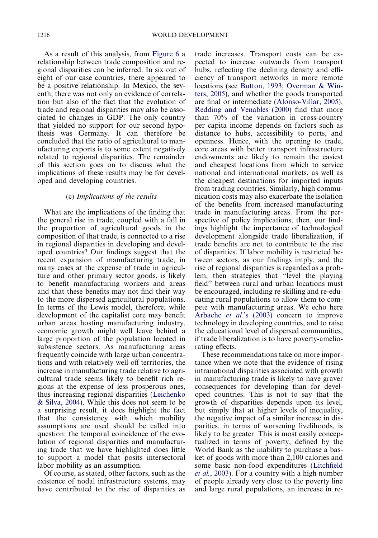As a result of this analysis, from [Figure 6](#page-13-0) a relationship between trade composition and regional disparities can be inferred. In six out of eight of our case countries, there appeared to be a positive relationship. In Mexico, the seventh, there was not only an evidence of correlation but also of the fact that the evolution of trade and regional disparities may also be associated to changes in GDP. The only country that yielded no support for our second hypothesis was Germany. It can therefore be concluded that the ratio of agricultural to manufacturing exports is to some extent negatively related to regional disparities. The remainder of this section goes on to discuss what the implications of these results may be for developed and developing countries.

#### (c) Implications of the results

What are the implications of the finding that the general rise in trade, coupled with a fall in the proportion of agricultural goods in the composition of that trade, is connected to a rise in regional disparities in developing and developed countries? Our findings suggest that the recent expansion of manufacturing trade, in many cases at the expense of trade in agriculture and other primary sector goods, is likely to benefit manufacturing workers and areas and that these benefits may not find their way to the more dispersed agricultural populations. In terms of the Lewis model, therefore, while development of the capitalist core may benefit urban areas hosting manufacturing industry, economic growth might well leave behind a large proportion of the population located in subsistence sectors. As manufacturing areas frequently coincide with large urban concentrations and with relatively well-off territories, the increase in manufacturing trade relative to agricultural trade seems likely to benefit rich regions at the expense of less prosperous ones, thus increasing regional disparities [\(Leichenko](#page-18-0) [& Silva, 2004](#page-18-0)). While this does not seem to be a surprising result, it does highlight the fact that the consistency with which mobility assumptions are used should be called into question: the temporal coincidence of the evolution of regional disparities and manufacturing trade that we have highlighted does little to support a model that posits intersectoral labor mobility as an assumption.

Of course, as stated, other factors, such as the existence of nodal infrastructure systems, may have contributed to the rise of disparities as

trade increases. Transport costs can be expected to increase outwards from transport hubs, reflecting the declining density and efficiency of transport networks in more remote locations (see [Button, 1993; Overman & Win](#page-17-0)[ters, 2005\)](#page-17-0), and whether the goods transported are final or intermediate [\(Alonso-Villar, 2005\)](#page-17-0). [Redding and Venables \(2000\)](#page-18-0) find that more than 70% of the variation in cross-country per capita income depends on factors such as distance to hubs, accessibility to ports, and openness. Hence, with the opening to trade, core areas with better transport infrastructure endowments are likely to remain the easiest and cheapest locations from which to service national and international markets, as well as the cheapest destinations for imported inputs from trading countries. Similarly, high communication costs may also exacerbate the isolation of the benefits from increased manufacturing trade in manufacturing areas. From the perspective of policy implications, then, our findings highlight the importance of technological development alongside trade liberalization, if trade benefits are not to contribute to the rise of disparities. If labor mobility is restricted between sectors, as our findings imply, and the rise of regional disparities is regarded as a problem, then strategies that ''level the playing field'' between rural and urban locations must be encouraged, including re-skilling and re-educating rural populations to allow them to compete with manufacturing areas. We echo here Arbache et al.['s \(2003\)](#page-17-0) concern to improve technology in developing countries, and to raise the educational level of dispersed communities, if trade liberalization is to have poverty-ameliorating effects.

These recommendations take on more importance when we note that the evidence of rising intranational disparities associated with growth in manufacturing trade is likely to have graver consequences for developing than for developed countries. This is not to say that the growth of disparities depends upon its level, but simply that at higher levels of inequality, the negative impact of a similar increase in disparities, in terms of worsening livelihoods, is likely to be greater. This is most easily conceptualized in terms of poverty, defined by the World Bank as the inability to purchase a basket of goods with more than 2,100 calories and some basic non-food expenditures [\(Litchfield](#page-18-0) et al.[, 2003](#page-18-0)). For a country with a high number of people already very close to the poverty line and large rural populations, an increase in re-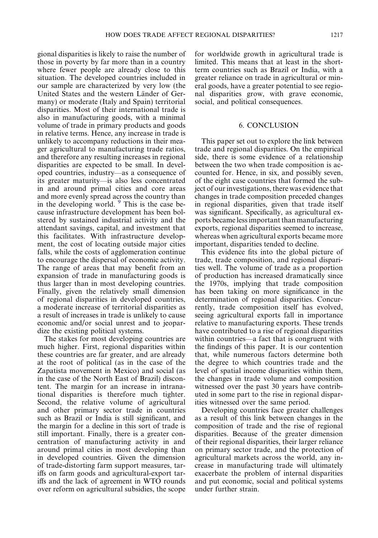gional disparities is likely to raise the number of those in poverty by far more than in a country where fewer people are already close to this situation. The developed countries included in our sample are characterized by very low (the United States and the western Länder of Germany) or moderate (Italy and Spain) territorial disparities. Most of their international trade is also in manufacturing goods, with a minimal volume of trade in primary products and goods in relative terms. Hence, any increase in trade is unlikely to accompany reductions in their meager agricultural to manufacturing trade ratios, and therefore any resulting increases in regional disparities are expected to be small. In developed countries, industry—as a consequence of its greater maturity—is also less concentrated in and around primal cities and core areas and more evenly spread across the country than in the developing world. <sup>9</sup> This is the case because infrastructure development has been bolstered by sustained industrial activity and the attendant savings, capital, and investment that this facilitates. With infrastructure development, the cost of locating outside major cities falls, while the costs of agglomeration continue to encourage the dispersal of economic activity. The range of areas that may benefit from an expansion of trade in manufacturing goods is thus larger than in most developing countries. Finally, given the relatively small dimension of regional disparities in developed countries, a moderate increase of territorial disparities as a result of increases in trade is unlikely to cause economic and/or social unrest and to jeopardize the existing political systems.

The stakes for most developing countries are much higher. First, regional disparities within these countries are far greater, and are already at the root of political (as in the case of the Zapatista movement in Mexico) and social (as in the case of the North East of Brazil) discontent. The margin for an increase in intranational disparities is therefore much tighter. Second, the relative volume of agricultural and other primary sector trade in countries such as Brazil or India is still significant, and the margin for a decline in this sort of trade is still important. Finally, there is a greater concentration of manufacturing activity in and around primal cities in most developing than in developed countries. Given the dimension of trade-distorting farm support measures, tariffs on farm goods and agricultural-export tariffs and the lack of agreement in WTO rounds over reform on agricultural subsidies, the scope for worldwide growth in agricultural trade is limited. This means that at least in the shortterm countries such as Brazil or India, with a greater reliance on trade in agricultural or mineral goods, have a greater potential to see regional disparities grow, with grave economic, social, and political consequences.

#### 6. CONCLUSION

This paper set out to explore the link between trade and regional disparities. On the empirical side, there is some evidence of a relationship between the two when trade composition is accounted for. Hence, in six, and possibly seven, of the eight case countries that formed the subject of our investigations, there was evidence that changes in trade composition preceded changes in regional disparities, given that trade itself was significant. Specifically, as agricultural exports became less important than manufacturing exports, regional disparities seemed to increase, whereas when agricultural exports became more important, disparities tended to decline.

This evidence fits into the global picture of trade, trade composition, and regional disparities well. The volume of trade as a proportion of production has increased dramatically since the 1970s, implying that trade composition has been taking on more significance in the determination of regional disparities. Concurrently, trade composition itself has evolved, seeing agricultural exports fall in importance relative to manufacturing exports. These trends have contributed to a rise of regional disparities within countries—a fact that is congruent with the findings of this paper. It is our contention that, while numerous factors determine both the degree to which countries trade and the level of spatial income disparities within them, the changes in trade volume and composition witnessed over the past 30 years have contributed in some part to the rise in regional disparities witnessed over the same period.

Developing countries face greater challenges as a result of this link between changes in the composition of trade and the rise of regional disparities. Because of the greater dimension of their regional disparities, their larger reliance on primary sector trade, and the protection of agricultural markets across the world, any increase in manufacturing trade will ultimately exacerbate the problem of internal disparities and put economic, social and political systems under further strain.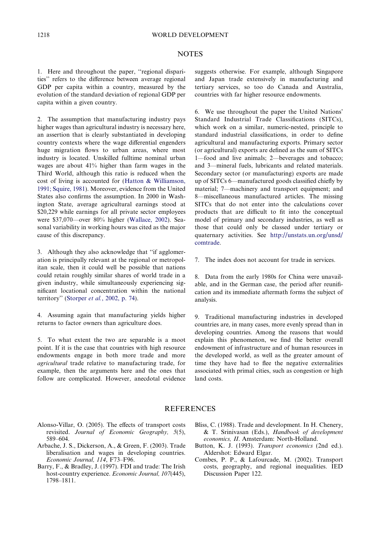#### **NOTES**

<span id="page-17-0"></span>1. Here and throughout the paper, ''regional disparities'' refers to the difference between average regional GDP per capita within a country, measured by the evolution of the standard deviation of regional GDP per capita within a given country.

2. The assumption that manufacturing industry pays higher wages than agricultural industry is necessary here, an assertion that is clearly substantiated in developing country contexts where the wage differential engenders huge migration flows to urban areas, where most industry is located. Unskilled fulltime nominal urban wages are about 41% higher than farm wages in the Third World, although this ratio is reduced when the cost of living is accounted for ([Hatton & Williamson,](#page-18-0) [1991; Squire, 1981\)](#page-18-0). Moreover, evidence from the United States also confirms the assumption. In 2000 in Washington State, average agricultural earnings stood at \$20,229 while earnings for all private sector employees were \$37,070—over 80% higher [\(Wallace, 2002](#page-19-0)). Seasonal variability in working hours was cited as the major cause of this discrepancy.

3. Although they also acknowledge that ''if agglomeration is principally relevant at the regional or metropolitan scale, then it could well be possible that nations could retain roughly similar shares of world trade in a given industry, while simultaneously experiencing significant locational concentration within the national territory" (Storper et al.[, 2002, p. 74](#page-19-0)).

4. Assuming again that manufacturing yields higher returns to factor owners than agriculture does.

5. To what extent the two are separable is a moot point. If it is the case that countries with high resource endowments engage in both more trade and more agricultural trade relative to manufacturing trade, for example, then the arguments here and the ones that follow are complicated. However, anecdotal evidence suggests otherwise. For example, although Singapore and Japan trade extensively in manufacturing and tertiary services, so too do Canada and Australia, countries with far higher resource endowments.

6. We use throughout the paper the United Nations' Standard Industrial Trade Classifications (SITCs), which work on a similar, numeric-nested, principle to standard industrial classifications, in order to define agricultural and manufacturing exports. Primary sector (or agricultural) exports are defined as the sum of SITCs 1—food and live animals; 2—beverages and tobacco; and 3—mineral fuels, lubricants and related materials. Secondary sector (or manufacturing) exports are made up of SITCs 6—manufactured goods classified chiefly by material; 7—machinery and transport equipment; and 8—miscellaneous manufactured articles. The missing SITCs that do not enter into the calculations cover products that are difficult to fit into the conceptual model of primary and secondary industries, as well as those that could only be classed under tertiary or quaternary activities. See [http://unstats.un.org/unsd/](http://unstats.un.org/unsd/comtrade) [comtrade](http://unstats.un.org/unsd/comtrade).

7. The index does not account for trade in services.

8. Data from the early 1980s for China were unavailable, and in the German case, the period after reunification and its immediate aftermath forms the subject of analysis.

9. Traditional manufacturing industries in developed countries are, in many cases, more evenly spread than in developing countries. Among the reasons that would explain this phenomenon, we find the better overall endowment of infrastructure and of human resources in the developed world, as well as the greater amount of time they have had to flee the negative externalities associated with primal cities, such as congestion or high land costs.

#### **REFERENCES**

- Alonso-Villar, O. (2005). The effects of transport costs revisited. Journal of Economic Geography, 5(5), 589–604.
- Arbache, J. S., Dickerson, A., & Green, F. (2003). Trade liberalisation and wages in developing countries. Economic Journal, 114, F73–F96.
- Barry, F., & Bradley, J. (1997). FDI and trade: The Irish host-country experience. Economic Journal, 107(445), 1798–1811.
- Bliss, C. (1988). Trade and development. In H. Chenery, & T. Srinivasan (Eds.), Handbook of development economics, II. Amsterdam: North-Holland.
- Button, K. J. (1993). Transport economics (2nd ed.). Aldershot: Edward Elgar.
- Combes, P. P., & Lafourcade, M. (2002). Transport costs, geography, and regional inequalities. IED Discussion Paper 122.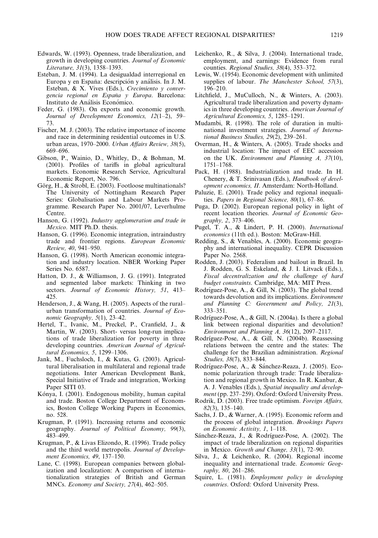- 
- <span id="page-18-0"></span>Edwards, W. (1993). Openness, trade liberalization, and growth in developing countries. Journal of Economic Literature, 31(3), 1358–1393.
- Esteban, J. M. (1994). La desigualdad interregional en Europa y en España: descripción y análisis. In J. M. Esteban, & X. Vives (Eds.), Crecimiento y convergencia regional en España y Europa. Barcelona: Instituto de Análisis Económico.
- Feder, G. (1983). On exports and economic growth. Journal of Development Economics, 12(1–2), 59– 73.
- Fischer, M. J. (2003). The relative importance of income and race in determining residential outcomes in U.S. urban areas, 1970–2000. Urban Affairs Review, 38(5), 669–696.
- Gibson, P., Wainio, D., Whitley, D., & Bohman, M. (2001). Profiles of tariffs in global agricultural markets. Economic Research Service, Agricultural Economic Report, No. 796.
- Görg, H., & Strobl, E. (2003). Footloose multinationals? The University of Nottingham Research Paper Series: Globalisation and Labour Markets Programme. Research Paper No. 2001/07, Leverhulme Centre.
- Hanson, G. (1992). Industry agglomeration and trade in Mexico. MIT Ph.D. thesis.
- Hanson, G. (1996). Economic integration, intraindustry trade and frontier regions. European Economic Review, 40, 941–950.
- Hanson, G. (1998). North American economic integration and industry location. NBER Working Paper Series No. 6587.
- Hatton, D. J., & Williamson, J. G. (1991). Integrated and segmented labor markets: Thinking in two sectors. Journal of Economic History, 51, 413-425.
- Henderson, J., & Wang, H. (2005). Aspects of the rural– urban transformation of countries. Journal of Economic Geography, 5(1), 23–42.
- Hertel, T., Ivanic, M., Preckel, P., Cranfield, J., & Martin, W. (2003). Short- versus long-run implications of trade liberalization for poverty in three developing countries. American Journal of Agricultural Economics, 5, 1299–1306.
- Jank, M., Fuchsloch, I., & Kutas, G. (2003). Agricultural liberalisation in multilateral and regional trade negotiations. Inter American Development Bank, Special Initiative of Trade and integration, Working Paper SITI 03.
- Kónya, I. (2001). Endogenous mobility, human capital and trade. Boston College Department of Economics, Boston College Working Papers in Economics, no. 528.
- Krugman, P. (1991). Increasing returns and economic geography. Journal of Political Economy, 99(3), 483–499.
- Krugman, P., & Livas Elizondo, R. (1996). Trade policy and the third world metropolis. Journal of Development Economics, 49, 137–150.
- Lane, C. (1998). European companies between globalization and localization: A comparison of internationalization strategies of British and German MNCs. Economy and Society, 27(4), 462–505.
- Leichenko, R., & Silva, J. (2004). International trade, employment, and earnings: Evidence from rural counties. Regional Studies, 38(4), 353–372.
- Lewis, W. (1954). Economic development with unlimited supplies of labour. The Manchester School, 57(3), 196–210.
- Litchfield, J., MuCulloch, N., & Winters, A. (2003). Agricultural trade liberalization and poverty dynamics in three developing countries. American Journal of Agricultural Economics, 5, 1285–1291.
- Mudambi, R. (1998). The role of duration in multinational investment strategies. Journal of International Business Studies, 29(2), 239–261.
- Overman, H., & Winters, A. (2005). Trade shocks and industrial location: The impact of EEC accession on the UK. Environment and Planning A, 37(10), 1751–1768.
- Pack, H. (1988). Industrialization and trade. In H. Chenery, & T. Srinivasan (Eds.), Handbook of development economics, II. Amsterdam: North-Holland.
- Paluzie, E. (2001). Trade policy and regional inequalities. Papers in Regional Science, 80(1), 67–86.
- Puga, D. (2002). European regional policy in light of recent location theories. Journal of Economic Geography, 2, 373–406.
- Pugel, T. A., & Lindert, P. H. (2000). International economics (11th ed.). Boston: McGraw-Hill.
- Redding, S., & Venables, A. (2000). Economic geography and international inequality. CEPR Discussion Paper No. 2568.
- Rodden, J. (2003). Federalism and bailout in Brazil. In J. Rodden, G. S. Eskeland, & J. I. Litvack (Eds.), Fiscal decentralization and the challenge of hard budget constraints. Cambridge, MA: MIT Press.
- Rodríguez-Pose, A., & Gill, N. (2003). The global trend towards devolution and its implications. Environment and Planning C: Government and Policy, 21(3), 333–351.
- Rodríguez-Pose, A., & Gill, N. (2004a). Is there a global link between regional disparities and devolution? Environment and Planning A,  $36(12)$ ,  $2097-2117$ .
- Rodríguez-Pose, A., & Gill, N. (2004b). Reassessing relations between the centre and the states: The challenge for the Brazilian administration. Regional Studies, 38(7), 833–844.
- Rodríguez-Pose, A., & Sánchez-Reaza, J. (2005). Economic polarization through trade: Trade liberalization and regional growth in Mexico. In R. Kanbur, & A. J. Venables (Eds.), Spatial inequality and development (pp. 237–259). Oxford: Oxford University Press.
- Rodrik, D. (2003). Free trade optimism. Foreign Affairs, 82(3), 135–140.
- Sachs, J. D., & Warner, A. (1995). Economic reform and the process of global integration. Brookings Papers on Economic Activity, 1, 1–118.
- Sánchez-Reaza, J., & Rodríguez-Pose, A. (2002). The impact of trade liberalization on regional disparities in Mexico. Growth and Change, 33(1), 72–90.
- Silva, J., & Leichenko, R. (2004). Regional income inequality and international trade. Economic Geography, 80, 261–286.
- Squire, L. (1981). Employment policy in developing countries. Oxford: Oxford University Press.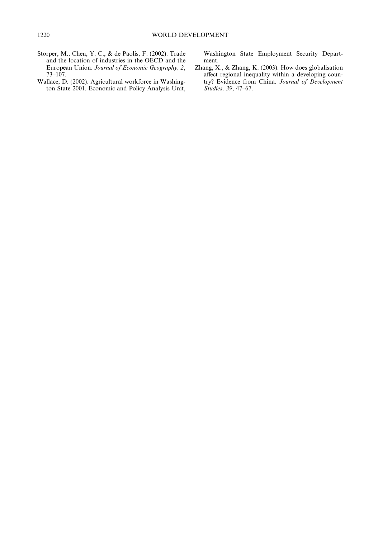- <span id="page-19-0"></span>Storper, M., Chen, Y. C., & de Paolis, F. (2002). Trade and the location of industries in the OECD and the European Union. Journal of Economic Geography, 2, 73–107.
- Wallace, D. (2002). Agricultural workforce in Washington State 2001. Economic and Policy Analysis Unit,

Washington State Employment Security Department.

Zhang, X., & Zhang, K. (2003). How does globalisation affect regional inequality within a developing country? Evidence from China. Journal of Development Studies, 39, 47–67.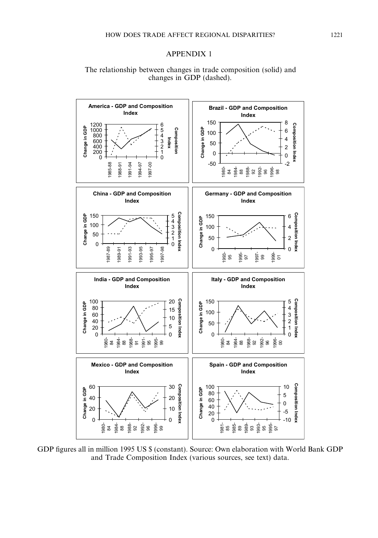The relationship between changes in trade composition (solid) and changes in GDP (dashed).



GDP figures all in million 1995 US \$ (constant). Source: Own elaboration with World Bank GDP and Trade Composition Index (various sources, see text) data.